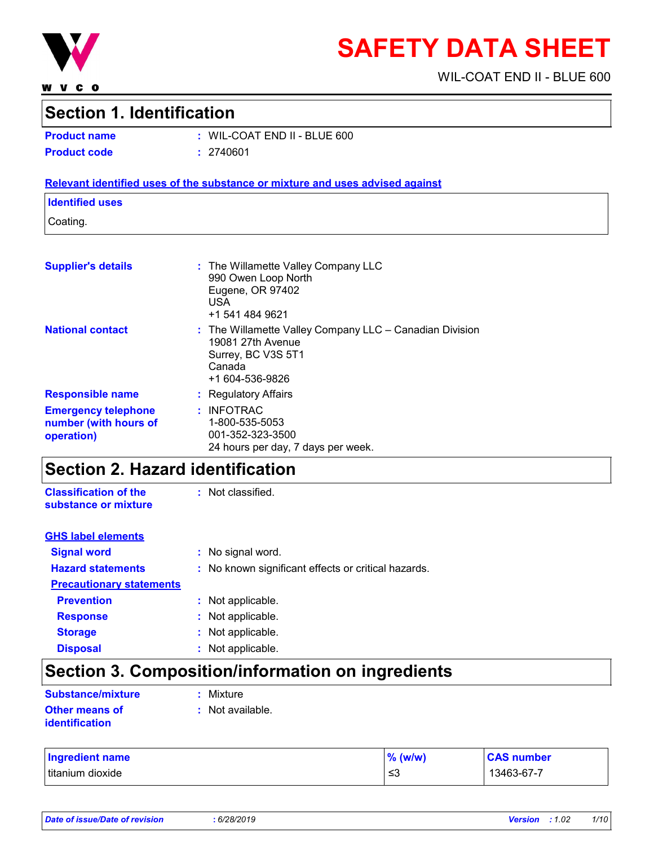

**WVCO** 

# **SAFETY DATA SHEET**

WIL-COAT END II - BLUE 600

### **Section 1. Identification**

**Product name :** WIL-COAT END II - BLUE 600 **Product code :** 2740601

#### **Relevant identified uses of the substance or mixture and uses advised against**

#### **Identified uses**

Coating.

| <b>Supplier's details</b>                                         | : The Willamette Valley Company LLC<br>990 Owen Loop North<br>Eugene, OR 97402<br><b>USA</b><br>+1 541 484 9621                     |
|-------------------------------------------------------------------|-------------------------------------------------------------------------------------------------------------------------------------|
| <b>National contact</b>                                           | $:$ The Willamette Valley Company LLC $-$ Canadian Division<br>19081 27th Avenue<br>Surrey, BC V3S 5T1<br>Canada<br>+1 604-536-9826 |
| <b>Responsible name</b>                                           | : Regulatory Affairs                                                                                                                |
| <b>Emergency telephone</b><br>number (with hours of<br>operation) | $:$ INFOTRAC<br>1-800-535-5053<br>001-352-323-3500<br>24 hours per day, 7 days per week.                                            |

### **Section 2. Hazard identification**

**Classification of the substance or mixture** : Not classified.

| <b>GHS label elements</b>       |                                                     |
|---------------------------------|-----------------------------------------------------|
| <b>Signal word</b>              | : No signal word.                                   |
| <b>Hazard statements</b>        | : No known significant effects or critical hazards. |
| <b>Precautionary statements</b> |                                                     |
| <b>Prevention</b>               | : Not applicable.                                   |
| <b>Response</b>                 | : Not applicable.                                   |
| <b>Storage</b>                  | : Not applicable.                                   |
| <b>Disposal</b>                 | Not applicable.                                     |

# **Section 3. Composition/information on ingredients**

| <b>Substance/mixture</b>         | : Mixture        |  |
|----------------------------------|------------------|--|
| Other means of<br>identification | : Not available. |  |

| <b>Ingredient name</b> | $%$ (w/w) | <b>CAS number</b> |
|------------------------|-----------|-------------------|
| Ititanium dioxide      | ≲3        | 13463-67-7        |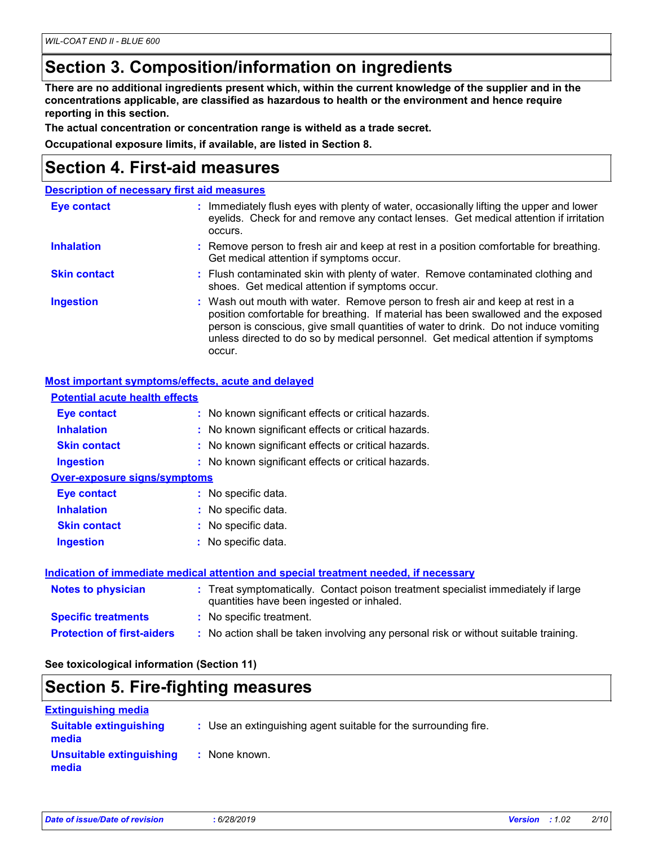### **Section 3. Composition/information on ingredients**

**There are no additional ingredients present which, within the current knowledge of the supplier and in the concentrations applicable, are classified as hazardous to health or the environment and hence require reporting in this section.**

**The actual concentration or concentration range is witheld as a trade secret.**

**Occupational exposure limits, if available, are listed in Section 8.**

### **Section 4. First-aid measures**

|                     | <b>Description of necessary first aid measures</b>                                                                                                                                                                                                                                                                                                        |
|---------------------|-----------------------------------------------------------------------------------------------------------------------------------------------------------------------------------------------------------------------------------------------------------------------------------------------------------------------------------------------------------|
| <b>Eye contact</b>  | : Immediately flush eyes with plenty of water, occasionally lifting the upper and lower<br>eyelids. Check for and remove any contact lenses. Get medical attention if irritation<br>occurs.                                                                                                                                                               |
| <b>Inhalation</b>   | : Remove person to fresh air and keep at rest in a position comfortable for breathing.<br>Get medical attention if symptoms occur.                                                                                                                                                                                                                        |
| <b>Skin contact</b> | : Flush contaminated skin with plenty of water. Remove contaminated clothing and<br>shoes. Get medical attention if symptoms occur.                                                                                                                                                                                                                       |
| <b>Ingestion</b>    | : Wash out mouth with water. Remove person to fresh air and keep at rest in a<br>position comfortable for breathing. If material has been swallowed and the exposed<br>person is conscious, give small quantities of water to drink. Do not induce vomiting<br>unless directed to do so by medical personnel. Get medical attention if symptoms<br>occur. |

#### **Most important symptoms/effects, acute and delayed**

| <b>Potential acute health effects</b> |                                                                                                                                |
|---------------------------------------|--------------------------------------------------------------------------------------------------------------------------------|
| Eye contact                           | : No known significant effects or critical hazards.                                                                            |
| <b>Inhalation</b>                     | : No known significant effects or critical hazards.                                                                            |
| <b>Skin contact</b>                   | : No known significant effects or critical hazards.                                                                            |
| <b>Ingestion</b>                      | : No known significant effects or critical hazards.                                                                            |
| <b>Over-exposure signs/symptoms</b>   |                                                                                                                                |
| Eye contact                           | : No specific data.                                                                                                            |
| <b>Inhalation</b>                     | : No specific data.                                                                                                            |
| <b>Skin contact</b>                   | : No specific data.                                                                                                            |
| <b>Ingestion</b>                      | $:$ No specific data.                                                                                                          |
|                                       | <b>Indication of immediate medical attention and special treatment needed, if necessary</b>                                    |
| <b>Notes to physician</b>             | : Treat symptomatically. Contact poison treatment specialist immediately if large<br>quantities have been ingested or inhaled. |
| <b>Specific treatments</b>            | : No specific treatment.                                                                                                       |
| <b>Protection of first-aiders</b>     | : No action shall be taken involving any personal risk or without suitable training.                                           |

#### **See toxicological information (Section 11)**

### **Section 5. Fire-fighting measures**

| <b>Extinguishing media</b>             |                                                                 |
|----------------------------------------|-----------------------------------------------------------------|
| <b>Suitable extinguishing</b><br>media | : Use an extinguishing agent suitable for the surrounding fire. |
| Unsuitable extinguishing<br>media      | : None known.                                                   |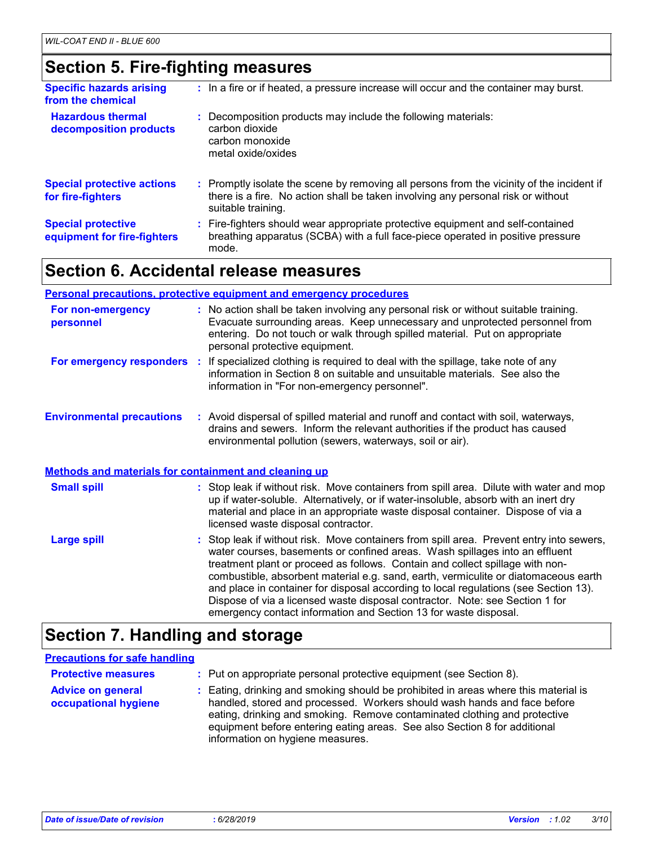# **Section 5. Fire-fighting measures**

| <b>Specific hazards arising</b><br>from the chemical     | : In a fire or if heated, a pressure increase will occur and the container may burst.                                                                                                               |
|----------------------------------------------------------|-----------------------------------------------------------------------------------------------------------------------------------------------------------------------------------------------------|
| <b>Hazardous thermal</b><br>decomposition products       | : Decomposition products may include the following materials:<br>carbon dioxide<br>carbon monoxide<br>metal oxide/oxides                                                                            |
| <b>Special protective actions</b><br>for fire-fighters   | : Promptly isolate the scene by removing all persons from the vicinity of the incident if<br>there is a fire. No action shall be taken involving any personal risk or without<br>suitable training. |
| <b>Special protective</b><br>equipment for fire-fighters | : Fire-fighters should wear appropriate protective equipment and self-contained<br>breathing apparatus (SCBA) with a full face-piece operated in positive pressure<br>mode.                         |

### **Section 6. Accidental release measures**

|                                                              | Personal precautions, protective equipment and emergency procedures                                                                                                                                                                                                                                                                                                                                                                                                                                                                                                                         |
|--------------------------------------------------------------|---------------------------------------------------------------------------------------------------------------------------------------------------------------------------------------------------------------------------------------------------------------------------------------------------------------------------------------------------------------------------------------------------------------------------------------------------------------------------------------------------------------------------------------------------------------------------------------------|
| For non-emergency<br>personnel                               | : No action shall be taken involving any personal risk or without suitable training.<br>Evacuate surrounding areas. Keep unnecessary and unprotected personnel from<br>entering. Do not touch or walk through spilled material. Put on appropriate<br>personal protective equipment.                                                                                                                                                                                                                                                                                                        |
|                                                              | For emergency responders : If specialized clothing is required to deal with the spillage, take note of any<br>information in Section 8 on suitable and unsuitable materials. See also the<br>information in "For non-emergency personnel".                                                                                                                                                                                                                                                                                                                                                  |
| <b>Environmental precautions</b>                             | : Avoid dispersal of spilled material and runoff and contact with soil, waterways,<br>drains and sewers. Inform the relevant authorities if the product has caused<br>environmental pollution (sewers, waterways, soil or air).                                                                                                                                                                                                                                                                                                                                                             |
| <b>Methods and materials for containment and cleaning up</b> |                                                                                                                                                                                                                                                                                                                                                                                                                                                                                                                                                                                             |
| <b>Small spill</b>                                           | : Stop leak if without risk. Move containers from spill area. Dilute with water and mop<br>up if water-soluble. Alternatively, or if water-insoluble, absorb with an inert dry<br>material and place in an appropriate waste disposal container. Dispose of via a<br>licensed waste disposal contractor.                                                                                                                                                                                                                                                                                    |
| <b>Large spill</b>                                           | : Stop leak if without risk. Move containers from spill area. Prevent entry into sewers,<br>water courses, basements or confined areas. Wash spillages into an effluent<br>treatment plant or proceed as follows. Contain and collect spillage with non-<br>combustible, absorbent material e.g. sand, earth, vermiculite or diatomaceous earth<br>and place in container for disposal according to local regulations (see Section 13).<br>Dispose of via a licensed waste disposal contractor. Note: see Section 1 for<br>emergency contact information and Section 13 for waste disposal. |

# **Section 7. Handling and storage**

#### **Precautions for safe handling**

| <b>Protective measures</b>                       | : Put on appropriate personal protective equipment (see Section 8).                                                                                                                                                                                                                                                                                           |
|--------------------------------------------------|---------------------------------------------------------------------------------------------------------------------------------------------------------------------------------------------------------------------------------------------------------------------------------------------------------------------------------------------------------------|
| <b>Advice on general</b><br>occupational hygiene | : Eating, drinking and smoking should be prohibited in areas where this material is<br>handled, stored and processed. Workers should wash hands and face before<br>eating, drinking and smoking. Remove contaminated clothing and protective<br>equipment before entering eating areas. See also Section 8 for additional<br>information on hygiene measures. |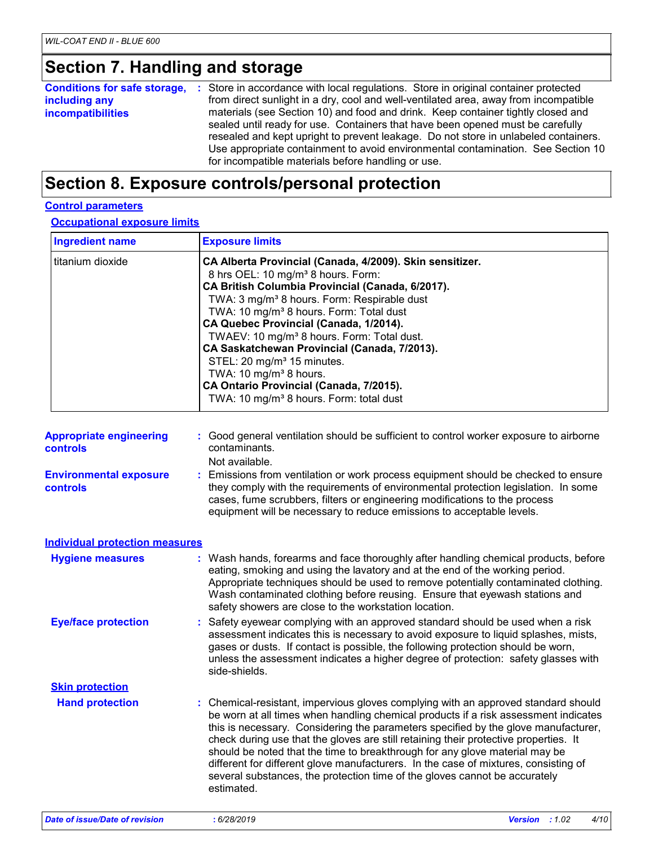### **Section 7. Handling and storage**

| <b>Conditions for safe storage, :</b> Store in accordance with local regulations. Store in original container protected<br>including any<br><i>incompatibilities</i> |
|----------------------------------------------------------------------------------------------------------------------------------------------------------------------|
|----------------------------------------------------------------------------------------------------------------------------------------------------------------------|

### **Section 8. Exposure controls/personal protection**

#### **Control parameters**

**Occupational exposure limits**

| <b>Ingredient name</b>         | <b>Exposure limits</b>                                                                 |
|--------------------------------|----------------------------------------------------------------------------------------|
| titanium dioxide               | CA Alberta Provincial (Canada, 4/2009). Skin sensitizer.                               |
|                                | 8 hrs OEL: 10 mg/m <sup>3</sup> 8 hours. Form:                                         |
|                                | CA British Columbia Provincial (Canada, 6/2017).                                       |
|                                | TWA: 3 mg/m <sup>3</sup> 8 hours. Form: Respirable dust                                |
|                                | TWA: 10 mg/m <sup>3</sup> 8 hours. Form: Total dust                                    |
|                                | CA Quebec Provincial (Canada, 1/2014).                                                 |
|                                | TWAEV: 10 mg/m <sup>3</sup> 8 hours. Form: Total dust.                                 |
|                                | CA Saskatchewan Provincial (Canada, 7/2013).                                           |
|                                | STEL: 20 mg/m <sup>3</sup> 15 minutes.                                                 |
|                                | TWA: 10 $mg/m3$ 8 hours.                                                               |
|                                | CA Ontario Provincial (Canada, 7/2015).                                                |
|                                | TWA: 10 mg/m <sup>3</sup> 8 hours. Form: total dust                                    |
| <b>Appropriate engineering</b> | : Good general ventilation should be sufficient to control worker exposure to airborne |
| controls                       | contaminants.                                                                          |
|                                | Not available.                                                                         |

**Environmental exposure controls :** Emissions from ventilation or work process equipment should be checked to ensure they comply with the requirements of environmental protection legislation. In some cases, fume scrubbers, filters or engineering modifications to the process equipment will be necessary to reduce emissions to acceptable levels.

| <b>Individual protection measures</b> |                                                                                                                                                                                                                                                                                                                                                                                                                                                                                                                                                                                                                           |
|---------------------------------------|---------------------------------------------------------------------------------------------------------------------------------------------------------------------------------------------------------------------------------------------------------------------------------------------------------------------------------------------------------------------------------------------------------------------------------------------------------------------------------------------------------------------------------------------------------------------------------------------------------------------------|
| <b>Hygiene measures</b>               | : Wash hands, forearms and face thoroughly after handling chemical products, before<br>eating, smoking and using the lavatory and at the end of the working period.<br>Appropriate techniques should be used to remove potentially contaminated clothing.<br>Wash contaminated clothing before reusing. Ensure that eyewash stations and<br>safety showers are close to the workstation location.                                                                                                                                                                                                                         |
| <b>Eye/face protection</b>            | : Safety eyewear complying with an approved standard should be used when a risk<br>assessment indicates this is necessary to avoid exposure to liquid splashes, mists,<br>gases or dusts. If contact is possible, the following protection should be worn,<br>unless the assessment indicates a higher degree of protection: safety glasses with<br>side-shields.                                                                                                                                                                                                                                                         |
| <b>Skin protection</b>                |                                                                                                                                                                                                                                                                                                                                                                                                                                                                                                                                                                                                                           |
| <b>Hand protection</b>                | : Chemical-resistant, impervious gloves complying with an approved standard should<br>be worn at all times when handling chemical products if a risk assessment indicates<br>this is necessary. Considering the parameters specified by the glove manufacturer,<br>check during use that the gloves are still retaining their protective properties. It<br>should be noted that the time to breakthrough for any glove material may be<br>different for different glove manufacturers. In the case of mixtures, consisting of<br>several substances, the protection time of the gloves cannot be accurately<br>estimated. |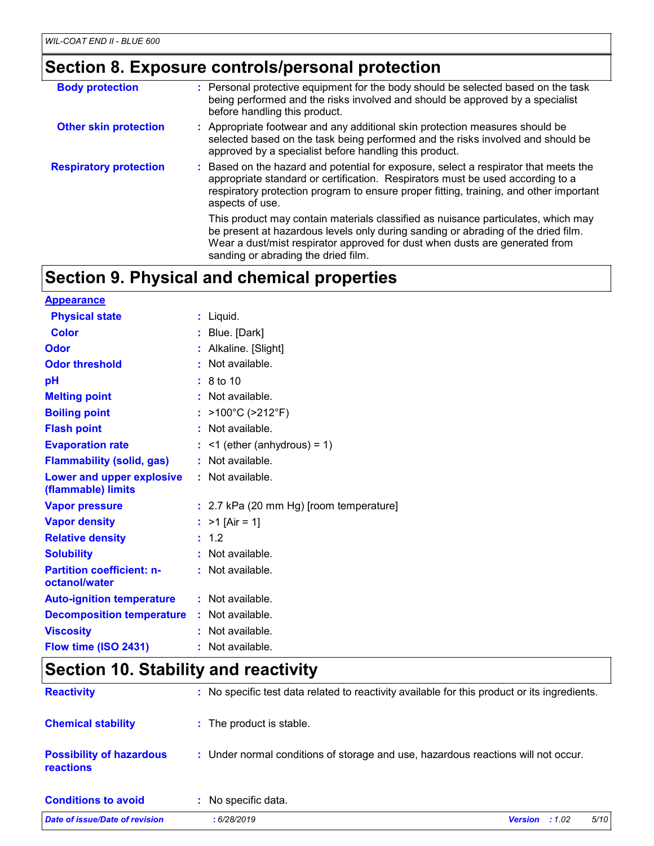# **Section 8. Exposure controls/personal protection**

| <b>Body protection</b>        | : Personal protective equipment for the body should be selected based on the task<br>being performed and the risks involved and should be approved by a specialist<br>before handling this product.                                                                                          |
|-------------------------------|----------------------------------------------------------------------------------------------------------------------------------------------------------------------------------------------------------------------------------------------------------------------------------------------|
| <b>Other skin protection</b>  | : Appropriate footwear and any additional skin protection measures should be<br>selected based on the task being performed and the risks involved and should be<br>approved by a specialist before handling this product.                                                                    |
| <b>Respiratory protection</b> | : Based on the hazard and potential for exposure, select a respirator that meets the<br>appropriate standard or certification. Respirators must be used according to a<br>respiratory protection program to ensure proper fitting, training, and other important<br>aspects of use.          |
|                               | This product may contain materials classified as nuisance particulates, which may<br>be present at hazardous levels only during sanding or abrading of the dried film.<br>Wear a dust/mist respirator approved for dust when dusts are generated from<br>sanding or abrading the dried film. |

# **Section 9. Physical and chemical properties**

| <b>Appearance</b>                                 |                                         |
|---------------------------------------------------|-----------------------------------------|
| <b>Physical state</b>                             | $:$ Liquid.                             |
| <b>Color</b>                                      | : Blue. [Dark]                          |
| Odor                                              | : Alkaline. [Slight]                    |
| <b>Odor threshold</b>                             | : Not available.                        |
| pH                                                | : 8 to 10                               |
| <b>Melting point</b>                              | $:$ Not available.                      |
| <b>Boiling point</b>                              | : $>100^{\circ}$ C ( $>212^{\circ}$ F)  |
| <b>Flash point</b>                                | : Not available.                        |
| <b>Evaporation rate</b>                           | $:$ <1 (ether (anhydrous) = 1)          |
| <b>Flammability (solid, gas)</b>                  | : Not available.                        |
| Lower and upper explosive<br>(flammable) limits   | : Not available.                        |
| <b>Vapor pressure</b>                             | : 2.7 kPa (20 mm Hg) [room temperature] |
| <b>Vapor density</b>                              | : $>1$ [Air = 1]                        |
| <b>Relative density</b>                           | : 1.2                                   |
| <b>Solubility</b>                                 | : Not available.                        |
| <b>Partition coefficient: n-</b><br>octanol/water | : Not available.                        |
| <b>Auto-ignition temperature</b>                  | : Not available.                        |
| <b>Decomposition temperature</b>                  | : Not available.                        |
| <b>Viscosity</b>                                  | : Not available.                        |
| Flow time (ISO 2431)                              | $:$ Not available.                      |

# **Section 10. Stability and reactivity**

| Date of issue/Date of revision                      | : 6/28/2019                                                                                  | <b>Version</b> : $1.02$ | 5/10 |
|-----------------------------------------------------|----------------------------------------------------------------------------------------------|-------------------------|------|
| <b>Conditions to avoid</b>                          | : No specific data.                                                                          |                         |      |
| <b>Possibility of hazardous</b><br><b>reactions</b> | : Under normal conditions of storage and use, hazardous reactions will not occur.            |                         |      |
| <b>Chemical stability</b>                           | : The product is stable.                                                                     |                         |      |
| <b>Reactivity</b>                                   | : No specific test data related to reactivity available for this product or its ingredients. |                         |      |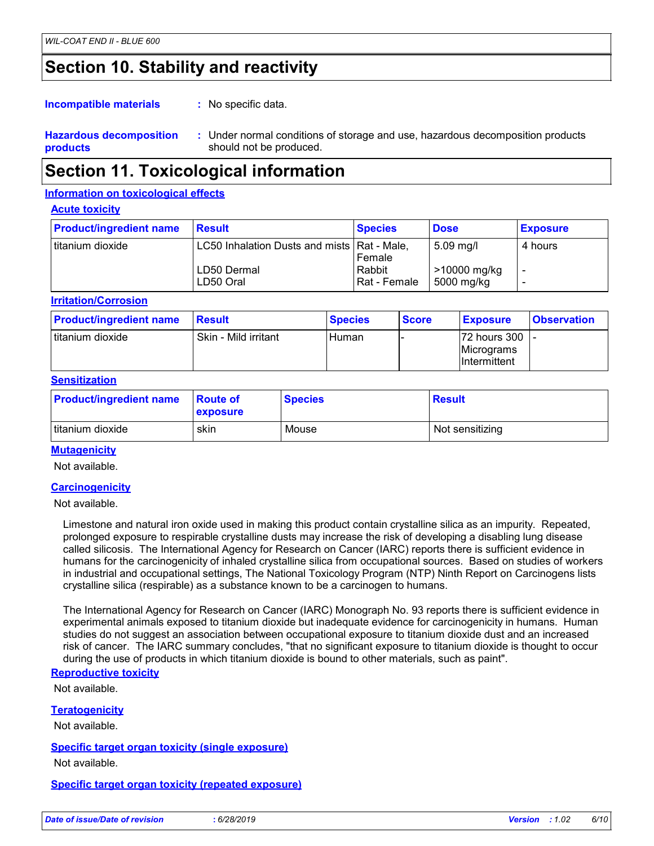### **Section 10. Stability and reactivity**

: No specific data. **Incompatible materials :**

**Hazardous decomposition products** Under normal conditions of storage and use, hazardous decomposition products **:** should not be produced.

### **Section 11. Toxicological information**

#### **Information on toxicological effects**

#### **Acute toxicity**

| <b>Product/ingredient name</b> | <b>Result</b>                                                             | <b>Species</b>                   | <b>Dose</b>                                          | <b>Exposure</b> |
|--------------------------------|---------------------------------------------------------------------------|----------------------------------|------------------------------------------------------|-----------------|
| Ititanium dioxide              | LC50 Inhalation Dusts and mists   Rat - Male,<br>LD50 Dermal<br>LD50 Oral | Female<br>Rabbit<br>Rat - Female | $5.09 \,\mathrm{mg/l}$<br>>10000 mg/kg<br>5000 mg/kg | 4 hours         |

**Irritation/Corrosion**

| <b>Product/ingredient name</b> | Result               | <b>Species</b> | <b>Score</b> | <b>Exposure</b>                               | <b>Observation</b> |
|--------------------------------|----------------------|----------------|--------------|-----------------------------------------------|--------------------|
| Ititanium dioxide              | Skin - Mild irritant | Human          |              | 72 hours 300  -<br>Micrograms<br>Intermittent |                    |

#### **Sensitization**

| <b>Product/ingredient name</b> | <b>Route of</b><br>exposure | <b>Species</b> | <b>Result</b>   |
|--------------------------------|-----------------------------|----------------|-----------------|
| titanium dioxide               | skin                        | Mouse          | Not sensitizing |

#### **Mutagenicity**

Not available.

#### **Carcinogenicity**

Not available.

Limestone and natural iron oxide used in making this product contain crystalline silica as an impurity. Repeated, prolonged exposure to respirable crystalline dusts may increase the risk of developing a disabling lung disease called silicosis. The International Agency for Research on Cancer (IARC) reports there is sufficient evidence in humans for the carcinogenicity of inhaled crystalline silica from occupational sources. Based on studies of workers in industrial and occupational settings, The National Toxicology Program (NTP) Ninth Report on Carcinogens lists crystalline silica (respirable) as a substance known to be a carcinogen to humans.

The International Agency for Research on Cancer (IARC) Monograph No. 93 reports there is sufficient evidence in experimental animals exposed to titanium dioxide but inadequate evidence for carcinogenicity in humans. Human studies do not suggest an association between occupational exposure to titanium dioxide dust and an increased risk of cancer. The IARC summary concludes, "that no significant exposure to titanium dioxide is thought to occur during the use of products in which titanium dioxide is bound to other materials, such as paint".

#### **Reproductive toxicity**

Not available.

#### **Teratogenicity**

Not available.

**Specific target organ toxicity (single exposure)**

Not available.

#### **Specific target organ toxicity (repeated exposure)**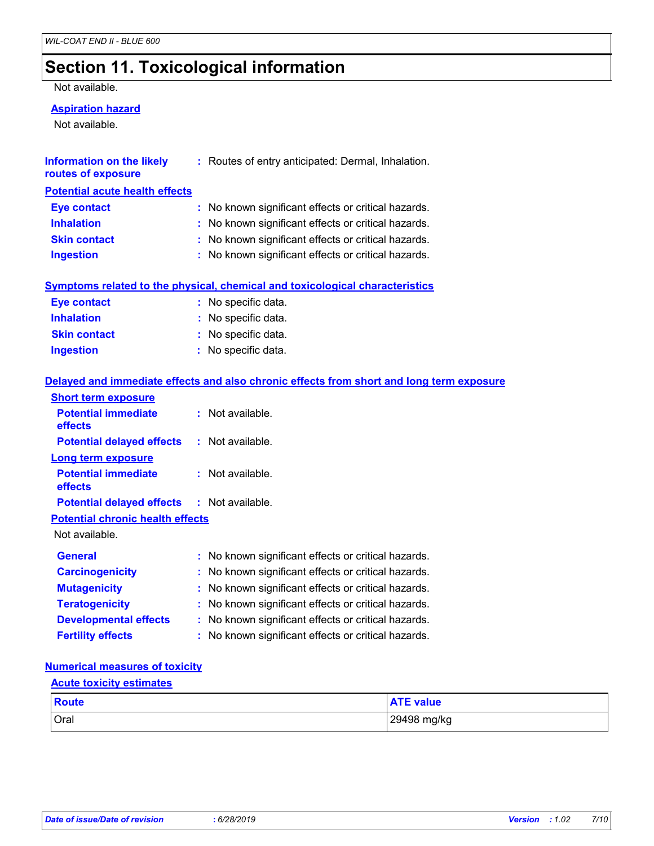### **Section 11. Toxicological information**

#### Not available.

#### **Aspiration hazard**

Not available.

| Information on the likely<br>routes of exposure | : Routes of entry anticipated: Dermal, Inhalation.  |
|-------------------------------------------------|-----------------------------------------------------|
| <b>Potential acute health effects</b>           |                                                     |
| <b>Eye contact</b>                              | : No known significant effects or critical hazards. |
| <b>Inhalation</b>                               | : No known significant effects or critical hazards. |
| <b>Skin contact</b>                             | : No known significant effects or critical hazards. |

| <b>Ingestion</b> | No known significant effects or critical hazards. |
|------------------|---------------------------------------------------|
|                  |                                                   |

#### **Symptoms related to the physical, chemical and toxicological characteristics**

| <b>Eye contact</b>  | : No specific data. |
|---------------------|---------------------|
| <b>Inhalation</b>   | : No specific data. |
| <b>Skin contact</b> | : No specific data. |
| Ingestion           | : No specific data. |

#### **Delayed and immediate effects and also chronic effects from short and long term exposure**

| <b>Short term exposure</b>                        |                                                     |
|---------------------------------------------------|-----------------------------------------------------|
| <b>Potential immediate</b><br>effects             | $:$ Not available.                                  |
| <b>Potential delayed effects</b>                  | $:$ Not available.                                  |
| <b>Long term exposure</b>                         |                                                     |
| <b>Potential immediate</b><br>effects             | $:$ Not available.                                  |
| <b>Potential delayed effects : Not available.</b> |                                                     |
| <b>Potential chronic health effects</b>           |                                                     |
| Not available.                                    |                                                     |
| <b>General</b>                                    | : No known significant effects or critical hazards. |
| <b>Carcinogenicity</b>                            | : No known significant effects or critical hazards. |
| <b>Mutagenicity</b>                               | : No known significant effects or critical hazards. |
| <b>Teratogenicity</b>                             | : No known significant effects or critical hazards. |
| <b>Developmental effects</b>                      | : No known significant effects or critical hazards. |
| <b>Fertility effects</b>                          | : No known significant effects or critical hazards. |

#### **Numerical measures of toxicity**

#### **Acute toxicity estimates**

| <b>Route</b> | ATC.<br>- 1<br>ATE value |
|--------------|--------------------------|
| Oral         | 29498 mg/kg              |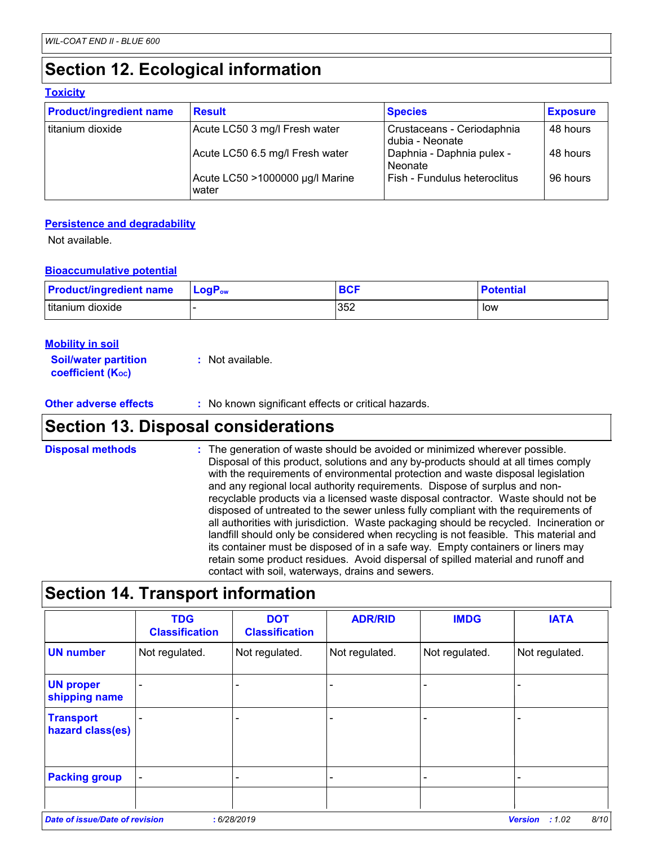# **Section 12. Ecological information**

#### **Toxicity**

| <b>Product/ingredient name</b> | <b>Result</b>                            | <b>Species</b>                                | <b>Exposure</b> |
|--------------------------------|------------------------------------------|-----------------------------------------------|-----------------|
| titanium dioxide               | Acute LC50 3 mg/l Fresh water            | Crustaceans - Ceriodaphnia<br>dubia - Neonate | 48 hours        |
|                                | Acute LC50 6.5 mg/l Fresh water          | Daphnia - Daphnia pulex -<br>Neonate          | 48 hours        |
|                                | Acute LC50 >1000000 µg/l Marine<br>water | Fish - Fundulus heteroclitus                  | 96 hours        |

#### **Persistence and degradability**

Not available.

#### **Bioaccumulative potential**

| <b>Product/ingredient name</b> | $LogPow$ | <b>BCF</b> | <b>Potential</b> |
|--------------------------------|----------|------------|------------------|
| titanium dioxide               |          | 352        | low              |

| <b>Mobility in soil</b>                                 |                  |
|---------------------------------------------------------|------------------|
| <b>Soil/water partition</b><br><b>coefficient (Koc)</b> | : Not available. |

**Other adverse effects** : No known significant effects or critical hazards.

### **Section 13. Disposal considerations**

: The generation of waste should be avoided or minimized wherever possible. Disposal of this product, solutions and any by-products should at all times comply with the requirements of environmental protection and waste disposal legislation and any regional local authority requirements. Dispose of surplus and nonrecyclable products via a licensed waste disposal contractor. Waste should not be disposed of untreated to the sewer unless fully compliant with the requirements of all authorities with jurisdiction. Waste packaging should be recycled. Incineration or landfill should only be considered when recycling is not feasible. This material and its container must be disposed of in a safe way. Empty containers or liners may retain some product residues. Avoid dispersal of spilled material and runoff and contact with soil, waterways, drains and sewers. **Disposal methods :**

### **Section 14. Transport information**

| Not regulated. |                                                      |                |                |                |
|----------------|------------------------------------------------------|----------------|----------------|----------------|
|                | Not regulated.                                       | Not regulated. | Not regulated. | Not regulated. |
|                |                                                      |                |                |                |
|                |                                                      |                |                |                |
|                |                                                      |                |                |                |
|                | <b>Date of issue/Date of revision</b><br>: 6/28/2019 |                |                |                |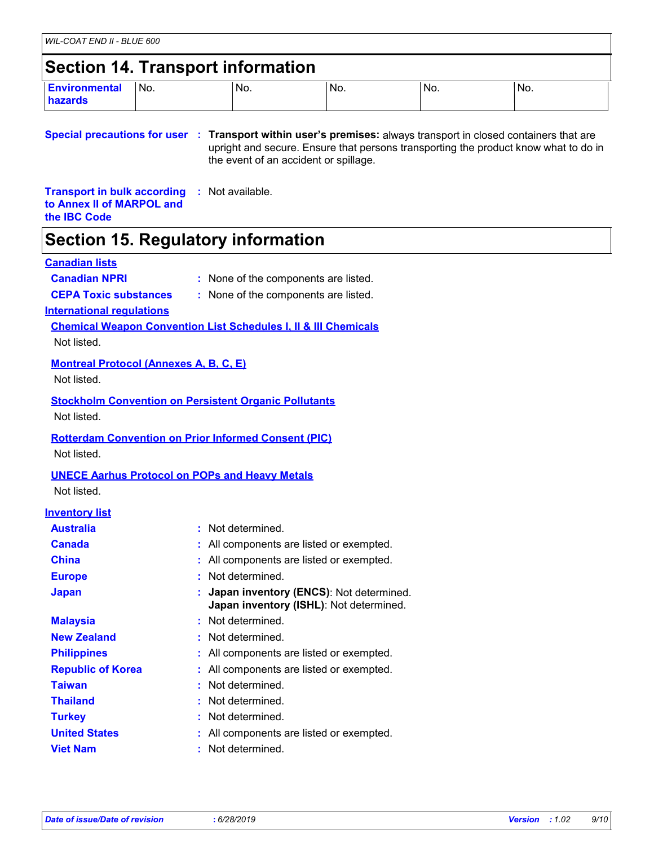# **Section 14. Transport information**

| <b>Environmental</b><br>hazards | No. | No. | No. | No. | INo. |
|---------------------------------|-----|-----|-----|-----|------|
|                                 |     |     |     |     |      |

**Special precautions for user Transport within user's premises:** always transport in closed containers that are **:** upright and secure. Ensure that persons transporting the product know what to do in the event of an accident or spillage.

**Transport in bulk according :** Not available. **to Annex II of MARPOL and the IBC Code**

### **Section 15. Regulatory information**

#### **Canadian lists**

- **Canadian NPRI :** None of the components are listed.
- 
- **CEPA Toxic substances :** None of the components are listed.

**International regulations**

**Chemical Weapon Convention List Schedules I, II & III Chemicals**

Not listed.

#### **Montreal Protocol (Annexes A, B, C, E)**

Not listed.

### **Stockholm Convention on Persistent Organic Pollutants**

Not listed.

#### **Rotterdam Convention on Prior Informed Consent (PIC)**

Not listed.

#### **UNECE Aarhus Protocol on POPs and Heavy Metals**

Not listed.

#### **Inventory list**

| <b>Australia</b>         | : Not determined.                                                                    |
|--------------------------|--------------------------------------------------------------------------------------|
| <b>Canada</b>            | : All components are listed or exempted.                                             |
| <b>China</b>             | : All components are listed or exempted.                                             |
| <b>Europe</b>            | : Not determined.                                                                    |
| <b>Japan</b>             | : Japan inventory (ENCS): Not determined.<br>Japan inventory (ISHL): Not determined. |
| <b>Malaysia</b>          | : Not determined.                                                                    |
| <b>New Zealand</b>       | : Not determined.                                                                    |
| <b>Philippines</b>       | : All components are listed or exempted.                                             |
| <b>Republic of Korea</b> | : All components are listed or exempted.                                             |
| <b>Taiwan</b>            | : Not determined.                                                                    |
| <b>Thailand</b>          | : Not determined.                                                                    |
| <b>Turkey</b>            | : Not determined.                                                                    |
| <b>United States</b>     | : All components are listed or exempted.                                             |
| <b>Viet Nam</b>          | Not determined.                                                                      |